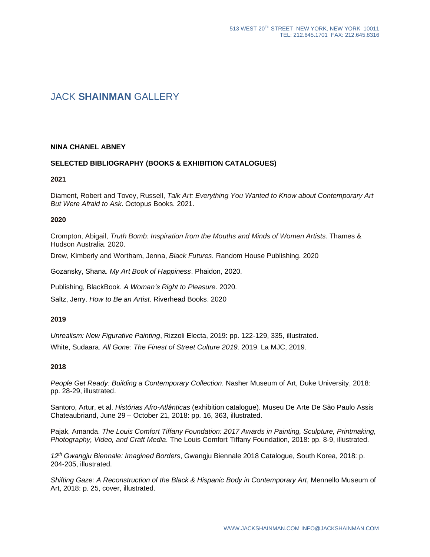# JACK **SHAINMAN** GALLERY

### **NINA CHANEL ABNEY**

### **SELECTED BIBLIOGRAPHY (BOOKS & EXHIBITION CATALOGUES)**

#### **2021**

Diament, Robert and Tovey, Russell, *Talk Art: Everything You Wanted to Know about Contemporary Art But Were Afraid to Ask*. Octopus Books. 2021.

#### **2020**

Crompton, Abigail, *Truth Bomb: Inspiration from the Mouths and Minds of Women Artists*. Thames & Hudson Australia. 2020.

Drew, Kimberly and Wortham, Jenna, *Black Futures*. Random House Publishing. 2020

Gozansky, Shana. *My Art Book of Happiness*. Phaidon, 2020.

Publishing, BlackBook. *A Woman's Right to Pleasure*. 2020.

Saltz, Jerry. *How to Be an Artist*. Riverhead Books. 2020

#### **2019**

*Unrealism: New Figurative Painting*, Rizzoli Electa, 2019: pp. 122-129, 335, illustrated.

White, Sudaara. *All Gone: The Finest of Street Culture 2019*. 2019. La MJC, 2019.

#### **2018**

*People Get Ready: Building a Contemporary Collection*. Nasher Museum of Art, Duke University, 2018: pp. 28-29, illustrated.

Santoro, Artur, et al. *Histórias Afro-Atlânticas* (exhibition catalogue). Museu De Arte De São Paulo Assis Chateaubriand, June 29 – October 21, 2018: pp. 16, 363, illustrated.

Pajak, Amanda. *The Louis Comfort Tiffany Foundation: 2017 Awards in Painting, Sculpture, Printmaking, Photography, Video, and Craft Media*. The Louis Comfort Tiffany Foundation, 2018: pp. 8-9, illustrated.

*12th Gwangju Biennale: Imagined Borders*, Gwangju Biennale 2018 Catalogue, South Korea, 2018: p. 204-205, illustrated.

*Shifting Gaze: A Reconstruction of the Black & Hispanic Body in Contemporary Art*, Mennello Museum of Art, 2018: p. 25, cover, illustrated.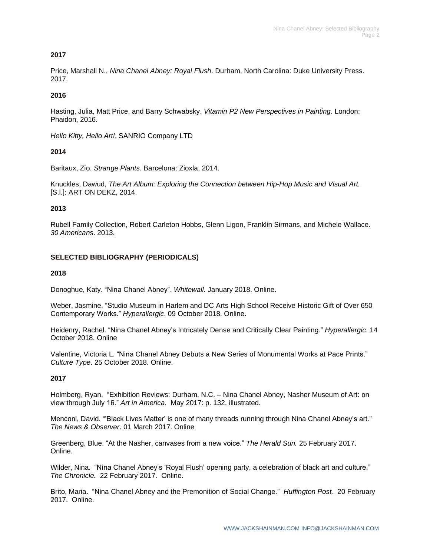## **2017**

Price, Marshall N., *Nina Chanel Abney: Royal Flush*. Durham, North Carolina: Duke University Press. 2017.

## **2016**

Hasting, Julia, Matt Price, and Barry Schwabsky. *Vitamin P2 New Perspectives in Painting*. London: Phaidon, 2016.

*Hello Kitty, Hello Art!*, SANRIO Company LTD

## **2014**

Baritaux, Zio. *Strange Plants*. Barcelona: Zioxla, 2014.

Knuckles, Dawud, *The Art Album: Exploring the Connection between Hip-Hop Music and Visual Art.*  [S.l.]: ART ON DEKZ, 2014.

## **2013**

Rubell Family Collection, Robert Carleton Hobbs, Glenn Ligon, Franklin Sirmans, and Michele Wallace. *30 Americans*. 2013.

## **SELECTED BIBLIOGRAPHY (PERIODICALS)**

### **2018**

Donoghue, Katy. "Nina Chanel Abney". *Whitewall.* January 2018. Online.

Weber, Jasmine. "Studio Museum in Harlem and DC Arts High School Receive Historic Gift of Over 650 Contemporary Works." *Hyperallergic*. 09 October 2018. Online.

Heidenry, Rachel. "Nina Chanel Abney's Intricately Dense and Critically Clear Painting." *Hyperallergic*. 14 October 2018. Online

Valentine, Victoria L. "Nina Chanel Abney Debuts a New Series of Monumental Works at Pace Prints." *Culture Type*. 25 October 2018. Online.

## **2017**

Holmberg, Ryan. "Exhibition Reviews: Durham, N.C. – Nina Chanel Abney, Nasher Museum of Art: on view through July 16." *Art in America*. May 2017: p. 132, illustrated.

Menconi, David. "'Black Lives Matter' is one of many threads running through Nina Chanel Abney's art." *The News & Observer*. 01 March 2017. Online

Greenberg, Blue. "At the Nasher, canvases from a new voice." *The Herald Sun.* 25 February 2017. Online.

Wilder, Nina. "Nina Chanel Abney's 'Royal Flush' opening party, a celebration of black art and culture." *The Chronicle.* 22 February 2017. Online.

Brito, Maria. "Nina Chanel Abney and the Premonition of Social Change." *Huffington Post.* 20 February 2017. Online.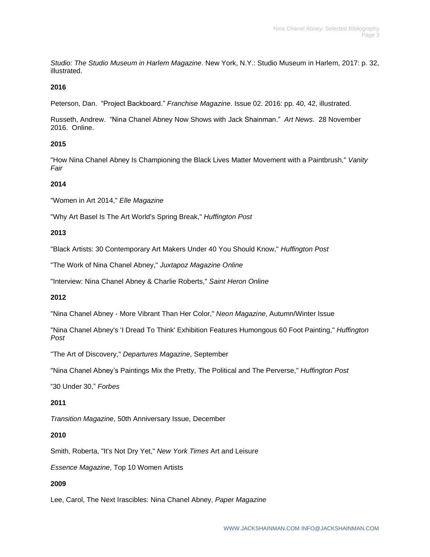*Studio: The Studio Museum in Harlem Magazine*. New York, N.Y.: Studio Museum in Harlem, 2017: p. 32, illustrated.

## **2016**

Peterson, Dan. "Project Backboard." *Franchise Magazine*. Issue 02. 2016: pp. 40, 42, illustrated.

Russeth, Andrew. "Nina Chanel Abney Now Shows with Jack Shainman." *Art News.* 28 November 2016. Online.

## **2015**

"How Nina Chanel Abney Is Championing the Black Lives Matter Movement with a Paintbrush," *Vanity Fair*

## **2014**

"Women in Art 2014," *Elle Magazine*

"Why Art Basel Is The Art World's Spring Break," *Huffington Post*

## **2013**

"Black Artists: 30 Contemporary Art Makers Under 40 You Should Know," *Huffington Post*

"The Work of Nina Chanel Abney," *Juxtapoz Magazine Online*

"Interview: Nina Chanel Abney & Charlie Roberts," *Saint Heron Online*

## **2012**

"Nina Chanel Abney - More Vibrant Than Her Color," *Neon Magazine*, Autumn/Winter Issue

"Nina Chanel Abney's 'I Dread To Think' Exhibition Features Humongous 60 Foot Painting," *Huffington Post*

"The Art of Discovery," *Departures Magazine*, September

"Nina Chanel Abney's Paintings Mix the Pretty, The Political and The Perverse," *Huffington Post*

"30 Under 30," *Forbes*

## **2011**

*Transition Magazine*, 50th Anniversary Issue, December

## **2010**

Smith, Roberta, "It's Not Dry Yet," *New York Times* Art and Leisure

*Essence Magazine*, Top 10 Women Artists

## **2009**

Lee, Carol, The Next Irascibles: Nina Chanel Abney, *Paper Magazine*